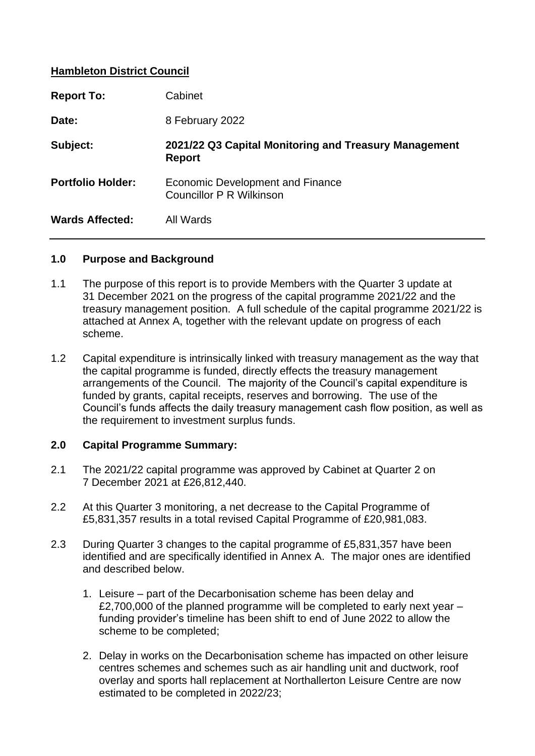## **Hambleton District Council**

| <b>Report To:</b>        | Cabinet                                                                |
|--------------------------|------------------------------------------------------------------------|
| Date:                    | 8 February 2022                                                        |
| Subject:                 | 2021/22 Q3 Capital Monitoring and Treasury Management<br><b>Report</b> |
| <b>Portfolio Holder:</b> | Economic Development and Finance<br><b>Councillor P R Wilkinson</b>    |
| <b>Wards Affected:</b>   | All Wards                                                              |

#### **1.0 Purpose and Background**

- 1.1 The purpose of this report is to provide Members with the Quarter 3 update at 31 December 2021 on the progress of the capital programme 2021/22 and the treasury management position. A full schedule of the capital programme 2021/22 is attached at Annex A, together with the relevant update on progress of each scheme.
- 1.2 Capital expenditure is intrinsically linked with treasury management as the way that the capital programme is funded, directly effects the treasury management arrangements of the Council. The majority of the Council's capital expenditure is funded by grants, capital receipts, reserves and borrowing. The use of the Council's funds affects the daily treasury management cash flow position, as well as the requirement to investment surplus funds.

#### **2.0 Capital Programme Summary:**

- 2.1 The 2021/22 capital programme was approved by Cabinet at Quarter 2 on 7 December 2021 at £26,812,440.
- 2.2 At this Quarter 3 monitoring, a net decrease to the Capital Programme of £5,831,357 results in a total revised Capital Programme of £20,981,083.
- 2.3 During Quarter 3 changes to the capital programme of £5,831,357 have been identified and are specifically identified in Annex A. The major ones are identified and described below.
	- 1. Leisure part of the Decarbonisation scheme has been delay and £2,700,000 of the planned programme will be completed to early next year – funding provider's timeline has been shift to end of June 2022 to allow the scheme to be completed;
	- 2. Delay in works on the Decarbonisation scheme has impacted on other leisure centres schemes and schemes such as air handling unit and ductwork, roof overlay and sports hall replacement at Northallerton Leisure Centre are now estimated to be completed in 2022/23;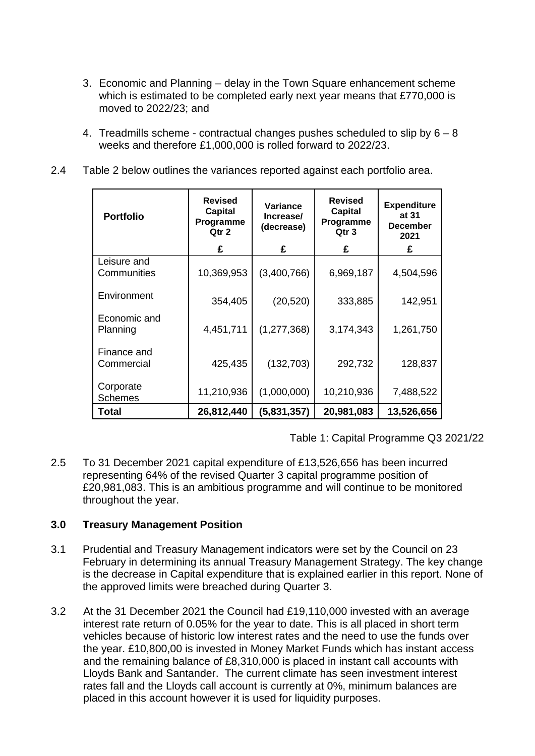- 3. Economic and Planning delay in the Town Square enhancement scheme which is estimated to be completed early next year means that £770,000 is moved to 2022/23; and
- 4. Treadmills scheme contractual changes pushes scheduled to slip by  $6 8$ weeks and therefore £1,000,000 is rolled forward to 2022/23.
- 2.4 Table 2 below outlines the variances reported against each portfolio area.

| <b>Portfolio</b>            | <b>Revised</b><br>Capital<br>Programme<br>Qtr 2 | Variance<br>Increase/<br>(decrease) | <b>Revised</b><br><b>Capital</b><br>Programme<br>Qtr <sub>3</sub> | <b>Expenditure</b><br>at 31<br><b>December</b><br>2021 |
|-----------------------------|-------------------------------------------------|-------------------------------------|-------------------------------------------------------------------|--------------------------------------------------------|
|                             | £                                               | £                                   | £                                                                 | £                                                      |
| Leisure and<br>Communities  | 10,369,953                                      | (3,400,766)                         | 6,969,187                                                         | 4,504,596                                              |
| Environment                 | 354,405                                         | (20, 520)                           | 333,885                                                           | 142,951                                                |
| Economic and<br>Planning    | 4,451,711                                       | (1, 277, 368)                       | 3,174,343                                                         | 1,261,750                                              |
| Finance and<br>Commercial   | 425,435                                         | (132, 703)                          | 292,732                                                           | 128,837                                                |
| Corporate<br><b>Schemes</b> | 11,210,936                                      | (1,000,000)                         | 10,210,936                                                        | 7,488,522                                              |
| Total                       | 26,812,440                                      | (5,831,357)                         | 20,981,083                                                        | 13,526,656                                             |

Table 1: Capital Programme Q3 2021/22

2.5 To 31 December 2021 capital expenditure of £13,526,656 has been incurred representing 64% of the revised Quarter 3 capital programme position of £20,981,083. This is an ambitious programme and will continue to be monitored throughout the year.

# **3.0 Treasury Management Position**

- 3.1 Prudential and Treasury Management indicators were set by the Council on 23 February in determining its annual Treasury Management Strategy. The key change is the decrease in Capital expenditure that is explained earlier in this report. None of the approved limits were breached during Quarter 3.
- 3.2 At the 31 December 2021 the Council had £19,110,000 invested with an average interest rate return of 0.05% for the year to date. This is all placed in short term vehicles because of historic low interest rates and the need to use the funds over the year. £10,800,00 is invested in Money Market Funds which has instant access and the remaining balance of £8,310,000 is placed in instant call accounts with Lloyds Bank and Santander. The current climate has seen investment interest rates fall and the Lloyds call account is currently at 0%, minimum balances are placed in this account however it is used for liquidity purposes.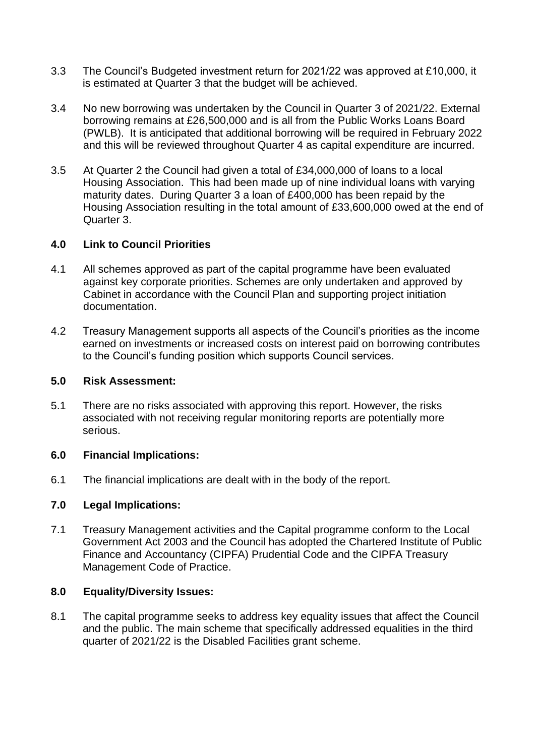- 3.3 The Council's Budgeted investment return for 2021/22 was approved at £10,000, it is estimated at Quarter 3 that the budget will be achieved.
- 3.4 No new borrowing was undertaken by the Council in Quarter 3 of 2021/22. External borrowing remains at £26,500,000 and is all from the Public Works Loans Board (PWLB). It is anticipated that additional borrowing will be required in February 2022 and this will be reviewed throughout Quarter 4 as capital expenditure are incurred.
- 3.5 At Quarter 2 the Council had given a total of £34,000,000 of loans to a local Housing Association. This had been made up of nine individual loans with varying maturity dates. During Quarter 3 a loan of £400,000 has been repaid by the Housing Association resulting in the total amount of £33,600,000 owed at the end of Quarter 3.

## **4.0 Link to Council Priorities**

- 4.1 All schemes approved as part of the capital programme have been evaluated against key corporate priorities. Schemes are only undertaken and approved by Cabinet in accordance with the Council Plan and supporting project initiation documentation.
- 4.2 Treasury Management supports all aspects of the Council's priorities as the income earned on investments or increased costs on interest paid on borrowing contributes to the Council's funding position which supports Council services.

#### **5.0 Risk Assessment:**

5.1 There are no risks associated with approving this report. However, the risks associated with not receiving regular monitoring reports are potentially more serious.

#### **6.0 Financial Implications:**

6.1 The financial implications are dealt with in the body of the report.

#### **7.0 Legal Implications:**

7.1 Treasury Management activities and the Capital programme conform to the Local Government Act 2003 and the Council has adopted the Chartered Institute of Public Finance and Accountancy (CIPFA) Prudential Code and the CIPFA Treasury Management Code of Practice.

#### **8.0 Equality/Diversity Issues:**

8.1 The capital programme seeks to address key equality issues that affect the Council and the public. The main scheme that specifically addressed equalities in the third quarter of 2021/22 is the Disabled Facilities grant scheme.